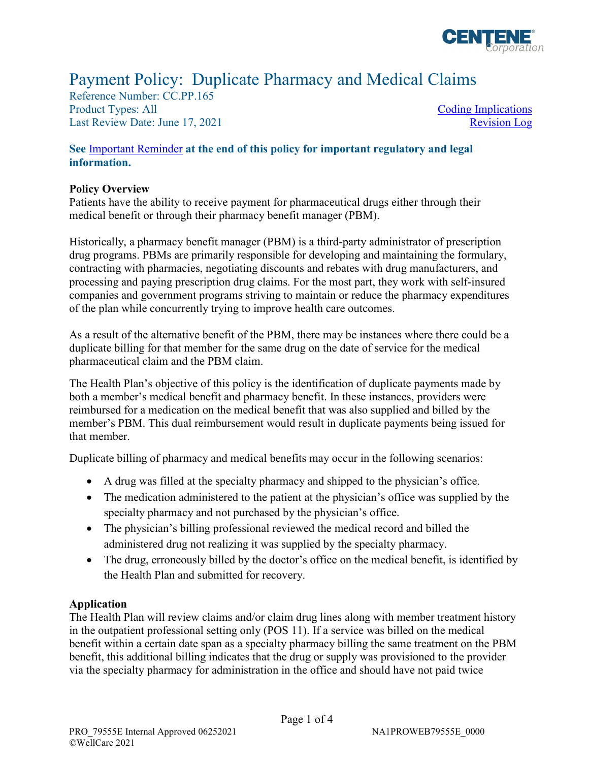

# Payment Policy: Duplicate Pharmacy and Medical Claims

Reference Number: CC.PP.165 Product Types: All Last Review Date: June 17, 2021

[Coding Implications](#page-1-0)  [Revision Log](#page-2-0) 

## **See** [Important Reminder](#page-2-0) **at the end of this policy for important regulatory and legal information.**

## **Policy Overview**

Patients have the ability to receive payment for pharmaceutical drugs either through their medical benefit or through their pharmacy benefit manager (PBM).

 Historically, a pharmacy benefit manager (PBM) is a third-party administrator of prescription contracting with pharmacies, negotiating discounts and rebates with drug manufacturers, and drug programs. PBMs are primarily responsible for developing and maintaining the formulary, processing and paying prescription drug claims. For the most part, they work with self-insured companies and government programs striving to maintain or reduce the pharmacy expenditures of the plan while concurrently trying to improve health care outcomes.

As a result of the alternative benefit of the PBM, there may be instances where there could be a duplicate billing for that member for the same drug on the date of service for the medical pharmaceutical claim and the PBM claim.

 The Health Plan's objective of this policy is the identification of duplicate payments made by both a member's medical benefit and pharmacy benefit. In these instances, providers were reimbursed for a medication on the medical benefit that was also supplied and billed by the member's PBM. This dual reimbursement would result in duplicate payments being issued for that member.

Duplicate billing of pharmacy and medical benefits may occur in the following scenarios:

- A drug was filled at the specialty pharmacy and shipped to the physician's office.
- • The medication administered to the patient at the physician's office was supplied by the specialty pharmacy and not purchased by the physician's office.
- • The physician's billing professional reviewed the medical record and billed the administered drug not realizing it was supplied by the specialty pharmacy.
- The drug, erroneously billed by the doctor's office on the medical benefit, is identified by the Health Plan and submitted for recovery.

## **Application**

 The Health Plan will review claims and/or claim drug lines along with member treatment history in the outpatient professional setting only (POS 11). If a service was billed on the medical benefit within a certain date span as a specialty pharmacy billing the same treatment on the PBM via the specialty pharmacy for administration in the office and should have not paid twice benefit, this additional billing indicates that the drug or supply was provisioned to the provider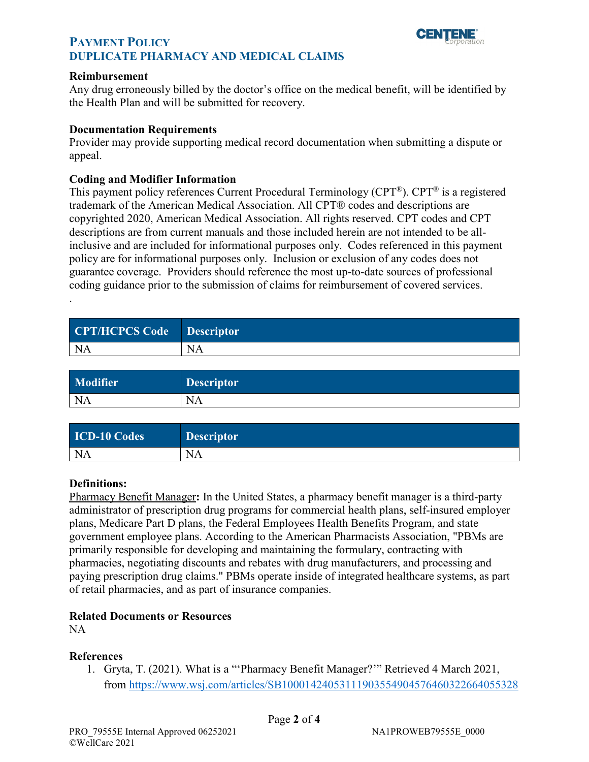

# <span id="page-1-0"></span>**PAYMENT POLICY PUPLICATE PHARMACY AND MEDICAL CLAIMS**

#### **Reimbursement**

Any drug erroneously billed by the doctor's office on the medical benefit, will be identified by the Health Plan and will be submitted for recovery.

#### **Documentation Requirements**

Provider may provide supporting medical record documentation when submitting a dispute or appeal.

#### **Coding and Modifier Information**

This payment policy references Current Procedural Terminology (CPT®). CPT® is a registered trademark of the American Medical Association. All CPT® codes and descriptions are copyrighted 2020, American Medical Association. All rights reserved. CPT codes and CPT descriptions are from current manuals and those included herein are not intended to be allinclusive and are included for informational purposes only. Codes referenced in this payment policy are for informational purposes only. Inclusion or exclusion of any codes does not guarantee coverage. Providers should reference the most up-to-date sources of professional coding guidance prior to the submission of claims for reimbursement of covered services.

| CPT/HCPCS Code Descriptor |
|---------------------------|
| NA                        |
|                           |

| Modifier  | <b>Descriptor</b> |
|-----------|-------------------|
| <b>NA</b> | <b>NA</b>         |

| <b>ICD-10 Codes</b> | <b>Descriptor</b> |
|---------------------|-------------------|
| <b>NA</b>           | <b>NA</b>         |

#### **Definitions:**

.

Pharmacy Benefit Manager**:** In the United States, a pharmacy benefit manager is a third-party administrator of prescription drug programs for commercial health plans, self-insured employer plans, Medicare Part D plans, the Federal Employees Health Benefits Program, and state government employee plans. According to the American Pharmacists Association, "PBMs are primarily responsible for developing and maintaining the formulary, contracting with pharmacies, negotiating discounts and rebates with drug manufacturers, and processing and paying prescription drug claims." PBMs operate inside of integrated healthcare systems, as part of retail pharmacies, and as part of insurance companies.

#### **Related Documents or Resources**

NA

#### **References**

1. Gryta, T. (2021). What is a "'Pharmacy Benefit Manager?'" Retrieved 4 March 2021, from<https://www.wsj.com/articles/SB10001424053111903554904576460322664055328>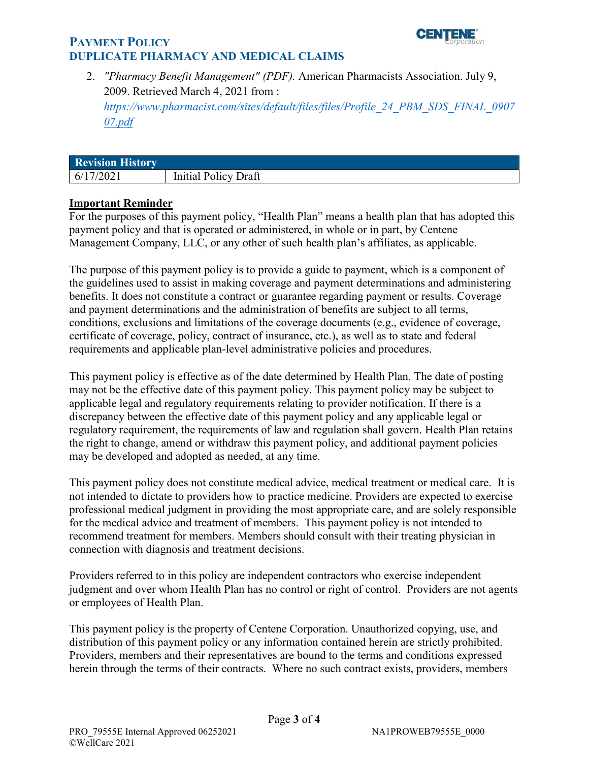

# <span id="page-2-0"></span>**PAYMENT POLICY PUPLICATE PHARMACY AND MEDICAL CLAIMS**

2. *["Pharmacy Benefit Management"](https://www.pharmacist.com/sites/default/files/files/Profile_24_PBM_SDS_FINAL_090707.pdf) (PDF).* American Pharmacists Association. July 9, 2009. Retrieved March 4, 2021 from : *[https://www.pharmacist.com/sites/default/files/files/Profile\\_24\\_PBM\\_SDS\\_FINAL\\_0907](https://www.pharmacist.com/sites/default/files/files/Profile_24_PBM_SDS_FINAL_090707.pdf) 07.pdf* 

| <b>Revision History</b> |                             |
|-------------------------|-----------------------------|
| 6/17/2021               | <b>Initial Policy Draft</b> |

## **Important Reminder**

 payment policy and that is operated or administered, in whole or in part, by Centene Management Company, LLC, or any other of such health plan's affiliates, as applicable. For the purposes of this payment policy, "Health Plan" means a health plan that has adopted this

 The purpose of this payment policy is to provide a guide to payment, which is a component of the guidelines used to assist in making coverage and payment determinations and administering benefits. It does not constitute a contract or guarantee regarding payment or results. Coverage and payment determinations and the administration of benefits are subject to all terms, conditions, exclusions and limitations of the coverage documents (e.g., evidence of coverage, certificate of coverage, policy, contract of insurance, etc.), as well as to state and federal requirements and applicable plan-level administrative policies and procedures.

 This payment policy is effective as of the date determined by Health Plan. The date of posting may not be the effective date of this payment policy. This payment policy may be subject to applicable legal and regulatory requirements relating to provider notification. If there is a regulatory requirement, the requirements of law and regulation shall govern. Health Plan retains discrepancy between the effective date of this payment policy and any applicable legal or the right to change, amend or withdraw this payment policy, and additional payment policies may be developed and adopted as needed, at any time.

 This payment policy does not constitute medical advice, medical treatment or medical care. It is not intended to dictate to providers how to practice medicine. Providers are expected to exercise professional medical judgment in providing the most appropriate care, and are solely responsible for the medical advice and treatment of members. This payment policy is not intended to recommend treatment for members. Members should consult with their treating physician in connection with diagnosis and treatment decisions.

 judgment and over whom Health Plan has no control or right of control. Providers are not agents Providers referred to in this policy are independent contractors who exercise independent or employees of Health Plan.

 distribution of this payment policy or any information contained herein are strictly prohibited. This payment policy is the property of Centene Corporation. Unauthorized copying, use, and Providers, members and their representatives are bound to the terms and conditions expressed herein through the terms of their contracts. Where no such contract exists, providers, members